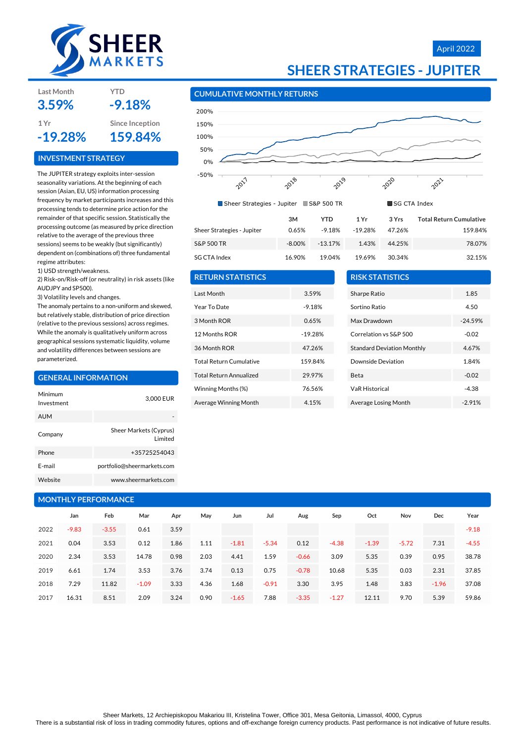

**Last Month YTD**

**INVESTMENT STRATEGY**

**3.59% -9.18%**

**1 Yr Since Inception -19.28% 159.84%**

The JUPITER strategy exploits inter-session seasonality variations. At the beginning of each session (Asian, EU, US) information processing frequency by market participants increases and this processing tends to determine price action for the remainder of that specific session. Statistically the processing outcome (as measured by price direction relative to the average of the previous three sessions) seems to be weakly (but significantly) dependent on (combinations of) three fundamental

# April 2022



#### **CUMULATIVE MONTHLY RETURNS**



|                            | 3M        | YTD        | 1 Yr    | 3 Yrs  | <b>Total Return Cumulative</b> |
|----------------------------|-----------|------------|---------|--------|--------------------------------|
| Sheer Strategies - Jupiter | 0.65%     | -9.18%     | -19.28% | 47.26% | 159.84%                        |
| S&P 500 TR                 | $-8.00\%$ | $-13.17\%$ | 1.43%   | 44.25% | 78.07%                         |
| SG CTA Index               | 16.90%    | 19.04%     | 19.69%  | 30.34% | 32.15%                         |

#### regime attributes: 1) USD strength/weakness.

2) Risk-on/Risk-off (or neutrality) in risk assets (like AUDJPY and SP500).

3) Volatility levels and changes.

The anomaly pertains to a non-uniform and skewed, but relatively stable, distribution of price direction (relative to the previous sessions) across regimes. While the anomaly is qualitatively uniform across geographical sessions systematic liquidity, volume and volatility differences between sessions are parameterized.

#### **GENERAL INFORMATION**

| Minimum<br>Investment | 3,000 EUR                          |
|-----------------------|------------------------------------|
| <b>AUM</b>            |                                    |
| Company               | Sheer Markets (Cyprus)<br>I imited |
| Phone                 | +35725254043                       |
| F-mail                | portfolio@sheermarkets.com         |
| Website               | www.sheermarkets.com               |

# **MONTHLY PERFORMANCE**

|      | Jan     | Feb     | Mar     | Apr  | May  | Jun     | Jul     | Aug     | Sep     | Oct     | Nov     | Dec     | Year    |
|------|---------|---------|---------|------|------|---------|---------|---------|---------|---------|---------|---------|---------|
| 2022 | $-9.83$ | $-3.55$ | 0.61    | 3.59 |      |         |         |         |         |         |         |         | $-9.18$ |
| 2021 | 0.04    | 3.53    | 0.12    | 1.86 | 1.11 | $-1.81$ | $-5.34$ | 0.12    | $-4.38$ | $-1.39$ | $-5.72$ | 7.31    | $-4.55$ |
| 2020 | 2.34    | 3.53    | 14.78   | 0.98 | 2.03 | 4.41    | 1.59    | $-0.66$ | 3.09    | 5.35    | 0.39    | 0.95    | 38.78   |
| 2019 | 6.61    | 1.74    | 3.53    | 3.76 | 3.74 | 0.13    | 0.75    | $-0.78$ | 10.68   | 5.35    | 0.03    | 2.31    | 37.85   |
| 2018 | 7.29    | 11.82   | $-1.09$ | 3.33 | 4.36 | 1.68    | $-0.91$ | 3.30    | 3.95    | 1.48    | 3.83    | $-1.96$ | 37.08   |
| 2017 | 16.31   | 8.51    | 2.09    | 3.24 | 0.90 | $-1.65$ | 7.88    | $-3.35$ | $-1.27$ | 12.11   | 9.70    | 5.39    | 59.86   |

| ි CTA Index             | 16.90 |
|-------------------------|-------|
| <b>ETURN STATISTICS</b> |       |
|                         |       |

# **RETURN STATISTICS**

| Last Month                     | 3.59%     |
|--------------------------------|-----------|
| Year To Date                   | $-9.18%$  |
| 3 Month ROR                    | 0.65%     |
| 12 Months ROR                  | $-19.28%$ |
| 36 Month ROR                   | 47.26%    |
| <b>Total Return Cumulative</b> | 159.84%   |
| <b>Total Return Annualized</b> | 29.97%    |
| Winning Months (%)             | 76.56%    |
| Average Winning Month          | 4.15%     |

| <b>RISK STATISTICS</b>            |           |
|-----------------------------------|-----------|
| Sharpe Ratio                      | 1.85      |
| Sortino Ratio                     | 4.50      |
| Max Drawdown                      | $-24.59%$ |
| Correlation vs S&P 500            | $-0.02$   |
| <b>Standard Deviation Monthly</b> | 4.67%     |
| Downside Deviation                | 1.84%     |
| Beta                              | $-0.02$   |
| <b>VaR Historical</b>             | -4.38     |
| Average Losing Month              | $-2.91%$  |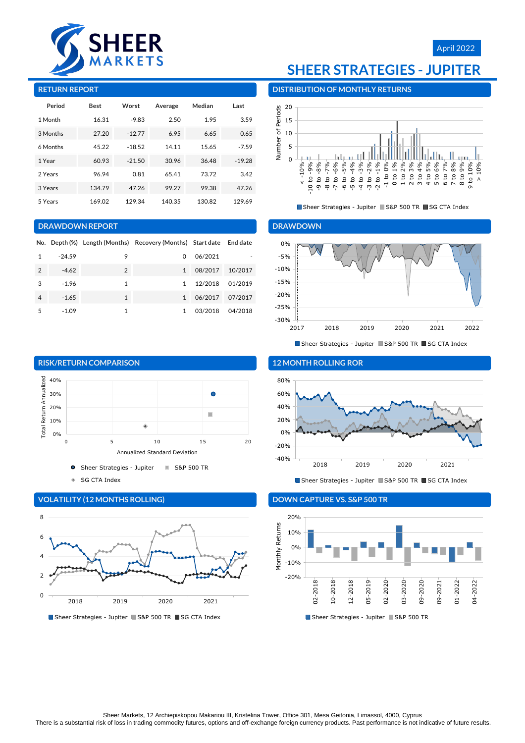

# April 2022

#### **RETURN REPORT**

| Period   | <b>Best</b> | Worst    | Average | Median | Last     |
|----------|-------------|----------|---------|--------|----------|
| 1 Month  | 16.31       | $-9.83$  | 2.50    | 1.95   | 3.59     |
| 3 Months | 27.20       | $-12.77$ | 6.95    | 6.65   | 0.65     |
| 6 Months | 45.22       | $-18.52$ | 14.11   | 15.65  | $-7.59$  |
| 1 Year   | 60.93       | $-21.50$ | 30.96   | 36.48  | $-19.28$ |
| 2 Years  | 96.94       | 0.81     | 65.41   | 73.72  | 3.42     |
| 3 Years  | 134.79      | 47.26    | 99.27   | 99.38  | 47.26    |
| 5 Years  | 169.02      | 129.34   | 140.35  | 130.82 | 129.69   |

#### **DRAWDOWN REPORT**

|   |          |                | No. Depth (%) Length (Months) Recovery (Months) Start date End date |         |         |
|---|----------|----------------|---------------------------------------------------------------------|---------|---------|
| 1 | $-24.59$ | 9              | 0                                                                   | 06/2021 |         |
| 2 | $-4.62$  | $\overline{2}$ | 1                                                                   | 08/2017 | 10/2017 |
| 3 | $-1.96$  | 1              | $\mathbf{1}$                                                        | 12/2018 | 01/2019 |
| 4 | $-1.65$  | $\mathbf{1}$   | $\mathbf{1}$                                                        | 06/2017 | 07/2017 |
| 5 | $-1.09$  | 1              |                                                                     | 03/2018 | 04/2018 |



۵ SG CTA Index



# **VOLATILITY (12 MONTHS ROLLING)**

# **SHEER STRATEGIES - JUPITER**

**DISTRIBUTION OF MONTHLY RETURNS**



Sheer Strategies - Jupiter S&P 500 TR SG CTA Index

#### **DRAWDOWN**



Sheer Strategies - Jupiter S&P 500 TR SG CTA Index



# Sheer Strategies - Jupiter S&P 500 TR SG CTA Index

### **DOWN CAPTURE VS. S&P 500 TR**



<sup>■</sup> Sheer Strategies - Jupiter ■ S&P 500 TR ■ SG CTA Index